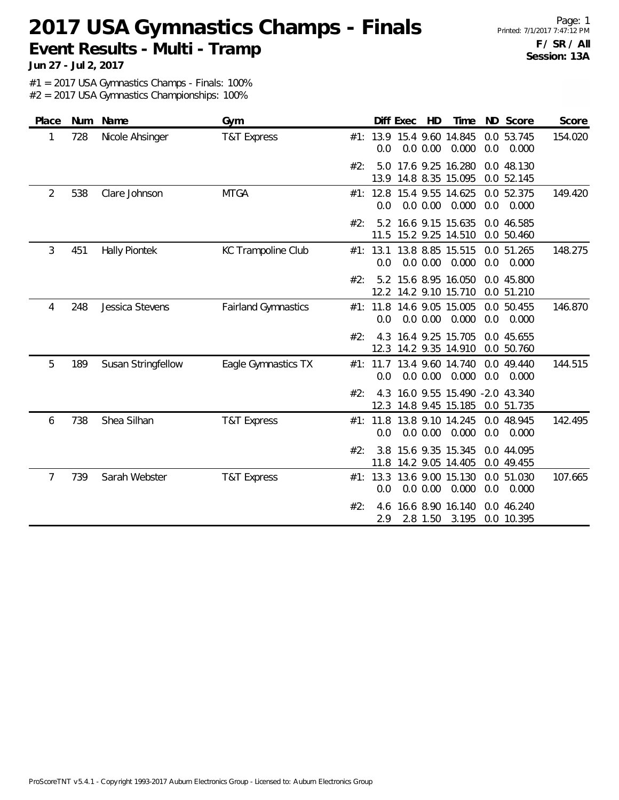**2017 USA Gymnastics Champs - Finals Event Results - Multi - Tramp**

**Jun 27 - Jul 2, 2017**

#1 = 2017 USA Gymnastics Champs - Finals: 100%

| Place | Num | Name                 | Gym                        | Diff Exec<br>HD<br>ND Score<br>Score<br>Time                                                      |
|-------|-----|----------------------|----------------------------|---------------------------------------------------------------------------------------------------|
| 1     | 728 | Nicole Ahsinger      | <b>T&amp;T Express</b>     | 15.4 9.60 14.845<br>0.0 53.745<br>154.020<br>#1: 13.9<br>0.0 0.00<br>0.000<br>0.0<br>0.0<br>0.000 |
|       |     |                      |                            | 17.6 9.25 16.280<br>0.0 48.130<br>#2:<br>5.0<br>14.8 8.35 15.095<br>13.9<br>0.0 52.145            |
| 2     | 538 | Clare Johnson        | <b>MTGA</b>                | 149.420<br>#1: 12.8 15.4 9.55 14.625<br>0.0 52.375<br>0.0<br>0.0 0.00<br>0.000<br>0.0<br>0.000    |
|       |     |                      |                            | 5.2<br>16.6 9.15 15.635<br>0.0 46.585<br>#2:<br>11.5 15.2 9.25 14.510<br>0.0 50.460               |
| 3     | 451 | <b>Hally Piontek</b> | KC Trampoline Club         | 148.275<br>#1: 13.1 13.8 8.85 15.515<br>0.0 51.265<br>0.0 0.00<br>0.000<br>0.0<br>0.0<br>0.000    |
|       |     |                      |                            | 5.2<br>15.6 8.95 16.050<br>0.0 45.800<br>#2:<br>12.2 14.2 9.10 15.710<br>0.0 51.210               |
| 4     | 248 | Jessica Stevens      | <b>Fairland Gymnastics</b> | 146.870<br>#1: 11.8 14.6 9.05 15.005<br>0.0 50.455<br>0.0 0.00<br>0.000<br>0.0<br>0.0<br>0.000    |
|       |     |                      |                            | 16.4 9.25 15.705<br>0.0 45.655<br>#2:<br>4.3<br>12.3 14.2 9.35 14.910<br>0.0 50.760               |
| 5     | 189 | Susan Stringfellow   | Eagle Gymnastics TX        | 144.515<br>#1: 11.7 13.4 9.60 14.740<br>0.0 49.440<br>0.0 0.00<br>0.000<br>0.0<br>0.0<br>0.000    |
|       |     |                      |                            | 16.0 9.55 15.490 -2.0 43.340<br>4.3<br>#2:<br>12.3 14.8 9.45 15.185<br>0.0 51.735                 |
| 6     | 738 | Shea Silhan          | <b>T&amp;T Express</b>     | 13.8 9.10 14.245<br>142.495<br>#1: 11.8<br>0.0 48.945<br>0.0 0.00<br>0.000<br>0.0<br>0.0<br>0.000 |
|       |     |                      |                            | 15.6 9.35 15.345<br>#2:<br>3.8<br>0.0 44.095<br>14.2 9.05 14.405<br>11.8<br>0.0 49.455            |
| 7     | 739 | Sarah Webster        | <b>T&amp;T Express</b>     | 107.665<br>#1: 13.3<br>13.6 9.00 15.130<br>0.0 51.030<br>0.0 0.00<br>0.000<br>0.0<br>0.0<br>0.000 |
|       |     |                      |                            | #2:<br>16.6 8.90 16.140<br>0.0 46.240<br>4.6<br>2.8 1.50<br>3.195<br>0.0 10.395<br>2.9            |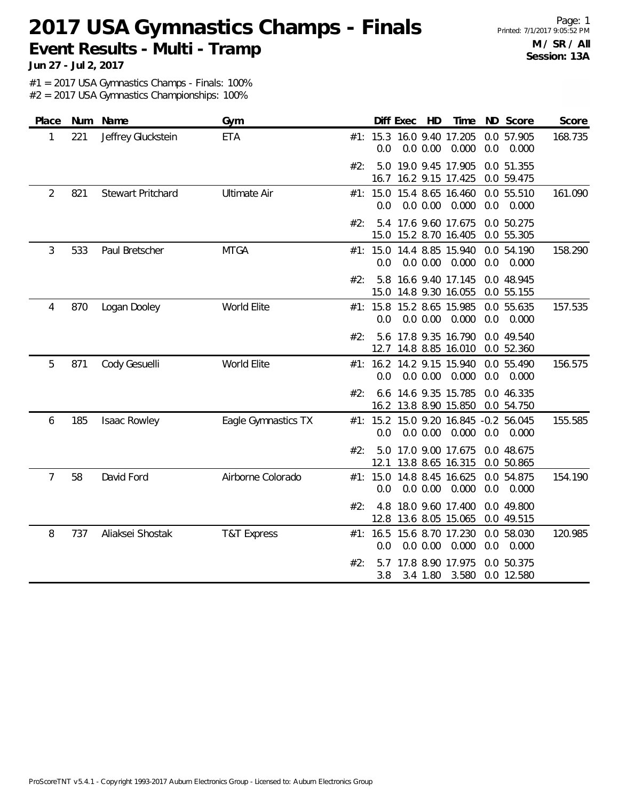**2017 USA Gymnastics Champs - Finals Event Results - Multi - Tramp**

**Jun 27 - Jul 2, 2017**

#1 = 2017 USA Gymnastics Champs - Finals: 100%

| Place          | Num | Name                     | Gym                    |     |                 | Diff Exec | HD          | Time                                              |     | ND Score                 | Score   |
|----------------|-----|--------------------------|------------------------|-----|-----------------|-----------|-------------|---------------------------------------------------|-----|--------------------------|---------|
| 1              | 221 | Jeffrey Gluckstein       | <b>ETA</b>             |     | #1: 15.3<br>0.0 |           | 0.0 0.00    | 16.0 9.40 17.205<br>0.000                         | 0.0 | 0.0 57.905<br>0.000      | 168.735 |
|                |     |                          |                        | #2: | 5.0<br>16.7     |           |             | 19.0 9.45 17.905<br>16.2 9.15 17.425              |     | 0.0 51.355<br>0.0 59.475 |         |
| $\overline{2}$ | 821 | <b>Stewart Pritchard</b> | <b>Ultimate Air</b>    |     | 0.0             |           | 0.0 0.00    | #1: 15.0 15.4 8.65 16.460<br>0.000                | 0.0 | 0.0 55.510<br>0.000      | 161.090 |
|                |     |                          |                        | #2: | 5.4             |           |             | 17.6 9.60 17.675<br>15.0 15.2 8.70 16.405         |     | 0.0 50.275<br>0.0 55.305 |         |
| 3              | 533 | Paul Bretscher           | <b>MTGA</b>            |     | 0.0             |           |             | #1: 15.0 14.4 8.85 15.940<br>$0.0$ $0.00$ $0.000$ | 0.0 | 0.0 54.190<br>0.000      | 158.290 |
|                |     |                          |                        | #2: | 5.8             |           |             | 16.6 9.40 17.145<br>15.0 14.8 9.30 16.055         |     | 0.0 48.945<br>0.0 55.155 |         |
| 4              | 870 | Logan Dooley             | World Elite            |     | 0.0             |           | $0.0\ 0.00$ | #1: 15.8 15.2 8.65 15.985<br>0.000                | 0.0 | 0.0 55.635<br>0.000      | 157.535 |
|                |     |                          |                        | #2: | 5.6             |           |             | 17.8 9.35 16.790<br>12.7 14.8 8.85 16.010         |     | 0.0 49.540<br>0.0 52.360 |         |
| 5              | 871 | Cody Gesuelli            | World Elite            |     | 0.0             |           | 0.0 0.00    | #1: 16.2 14.2 9.15 15.940<br>0.000                | 0.0 | 0.0 55.490<br>0.000      | 156.575 |
|                |     |                          |                        | #2: |                 |           |             | 6.6 14.6 9.35 15.785<br>16.2 13.8 8.90 15.850     |     | 0.0 46.335<br>0.0 54.750 |         |
| 6              | 185 | Isaac Rowley             | Eagle Gymnastics TX    |     | 0.0             |           | 0.0 0.00    | #1: 15.2 15.0 9.20 16.845 -0.2 56.045<br>0.000    | 0.0 | 0.000                    | 155.585 |
|                |     |                          |                        | #2: |                 |           |             | 5.0 17.0 9.00 17.675<br>12.1 13.8 8.65 16.315     |     | 0.0 48.675<br>0.0 50.865 |         |
| $\overline{7}$ | 58  | David Ford               | Airborne Colorado      |     | 0.0             |           |             | #1: 15.0 14.8 8.45 16.625<br>$0.0$ $0.00$ $0.000$ | 0.0 | 0.0 54.875<br>0.000      | 154.190 |
|                |     |                          |                        | #2: | 4.8             |           |             | 18.0 9.60 17.400<br>12.8 13.6 8.05 15.065         |     | 0.0 49.800<br>0.0 49.515 |         |
| 8              | 737 | Aliaksei Shostak         | <b>T&amp;T Express</b> | #1: | 16.5<br>0.0     |           |             | 15.6 8.70 17.230<br>$0.0$ $0.00$ $0.000$          | 0.0 | 0.0 58.030<br>0.000      | 120.985 |
|                |     |                          |                        | #2: | 5.7<br>3.8      |           | 3.4 1.80    | 17.8 8.90 17.975<br>3.580                         |     | 0.0 50.375<br>0.0 12.580 |         |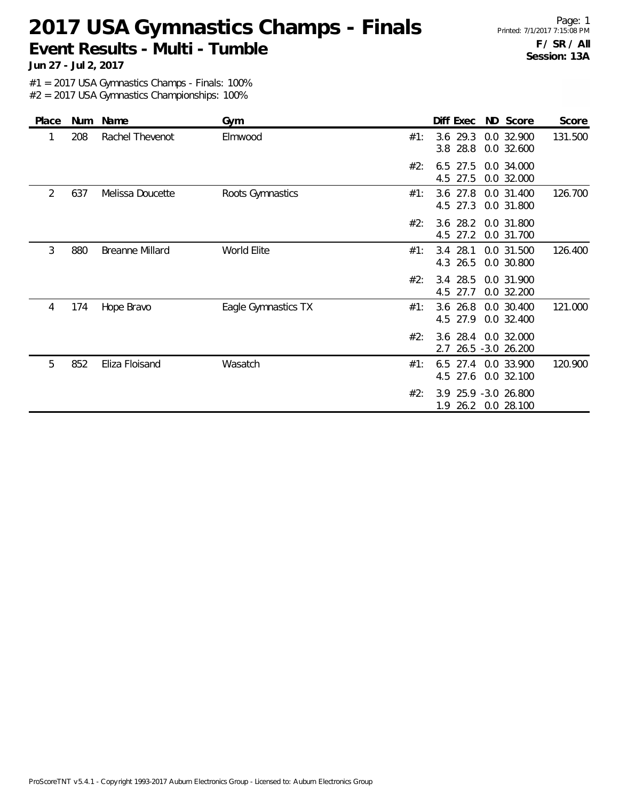**2017 USA Gymnastics Champs - Finals Event Results - Multi - Tumble**

**Jun 27 - Jul 2, 2017**

#1 = 2017 USA Gymnastics Champs - Finals: 100%

| Place | Num | Name                   | Gym                 |     | Diff Exec                  | ND Score                        | Score   |
|-------|-----|------------------------|---------------------|-----|----------------------------|---------------------------------|---------|
| 1     | 208 | Rachel Thevenot        | Elmwood             | #1: | $3.6$ 29.3<br>3.8 28.8     | 0.0 32.900<br>0.0 32.600        | 131.500 |
|       |     |                        |                     | #2: | 27.5<br>6.5<br>27.5<br>4.5 | 0.0 34.000<br>0.0 32.000        |         |
| 2     | 637 | Melissa Doucette       | Roots Gymnastics    | #1: | 27.8<br>3.6<br>4.5 27.3    | 0.0 31.400<br>0.0 31.800        | 126.700 |
|       |     |                        |                     | #2: | 28.2<br>3.6<br>4.5 27.2    | 0.0 31.800<br>0.0 31.700        |         |
| 3     | 880 | <b>Breanne Millard</b> | World Elite         | #1: | 3.4 28.1<br>4.3 26.5       | 0.0 31.500<br>0.0 30.800        | 126.400 |
|       |     |                        |                     | #2: | 3.4 28.5<br>4.5 27.7       | 0.0 31.900<br>0.0 32.200        |         |
| 4     | 174 | Hope Bravo             | Eagle Gymnastics TX | #1: | 26.8<br>3.6<br>4.5 27.9    | 0.0 30.400<br>0.0 32.400        | 121.000 |
|       |     |                        |                     | #2: | 3.6 28.4<br>2.7            | 0.0 32.000<br>26.5 - 3.0 26.200 |         |
| 5     | 852 | Eliza Floisand         | Wasatch             | #1: | 6.5<br>27.4<br>4.5<br>27.6 | 0.0 33.900<br>0.0 32.100        | 120.900 |
|       |     |                        |                     | #2: | 3.9<br>26.2<br>1.9         | 25.9 -3.0 26.800<br>0.0 28.100  |         |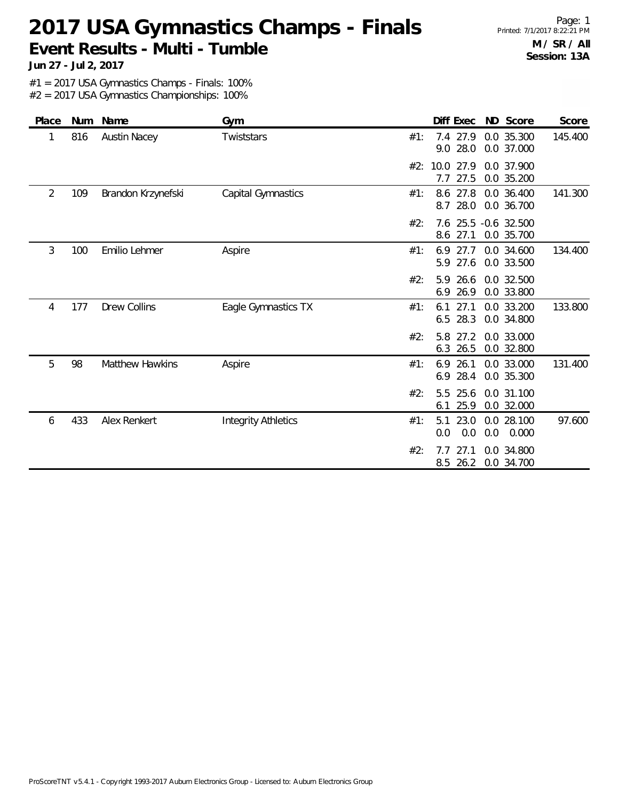**2017 USA Gymnastics Champs - Finals Event Results - Multi - Tumble**

**Jun 27 - Jul 2, 2017**

#1 = 2017 USA Gymnastics Champs - Finals: 100%

| Place          |     | Num Name            | Gym                        | Diff Exec                       | ND Score                                  | Score   |
|----------------|-----|---------------------|----------------------------|---------------------------------|-------------------------------------------|---------|
| 1              | 816 | <b>Austin Nacey</b> | Twiststars                 | 7.4 27.9<br>#1:<br>9.0          | 0.0 35.300<br>28.0<br>0.0 37.000          | 145.400 |
|                |     |                     |                            | 10.0 27.9<br>#2:<br>27.5<br>7.7 | 0.0 37.900<br>0.0 35.200                  |         |
| $\overline{2}$ | 109 | Brandon Krzynefski  | Capital Gymnastics         | 8.6 27.8<br>#1:<br>8.7          | 0.0 36.400<br>28.0<br>0.0 36.700          | 141.300 |
|                |     |                     |                            | #2:<br>27.1<br>8.6              | 7.6 25.5 -0.6 32.500<br>0.0 35.700        |         |
| 3              | 100 | Emilio Lehmer       | Aspire                     | #1:<br>$6.9$ 27.7<br>5.9        | 0.0 34.600<br>27.6<br>0.0 33.500          | 134.400 |
|                |     |                     |                            | #2:<br>5.9<br>26.9<br>6.9       | 26.6<br>0.0 32.500<br>0.0 33.800          |         |
| 4              | 177 | <b>Drew Collins</b> | Eagle Gymnastics TX        | #1:<br>6.1<br>6.5 28.3          | 27.1<br>0.0 33.200<br>0.0 34.800          | 133.800 |
|                |     |                     |                            | #2:<br>5.8 27.2<br>6.3 26.5     | 0.0 33.000<br>0.0 32.800                  |         |
| 5              | 98  | Matthew Hawkins     | Aspire                     | 6.9<br>#1:<br>6.9               | 26.1<br>0.0 33.000<br>28.4<br>0.0 35.300  | 131.400 |
|                |     |                     |                            | #2:<br>5.5<br>6.1               | 25.6<br>0.0 31.100<br>25.9<br>0.0 32.000  |         |
| 6              | 433 | Alex Renkert        | <b>Integrity Athletics</b> | #1:<br>5.1<br>0.0               | 23.0<br>0.0 28.100<br>0.0<br>0.0<br>0.000 | 97.600  |
|                |     |                     |                            | #2:<br>7.7<br>8.5               | 27.1<br>0.0 34.800<br>26.2<br>0.0 34.700  |         |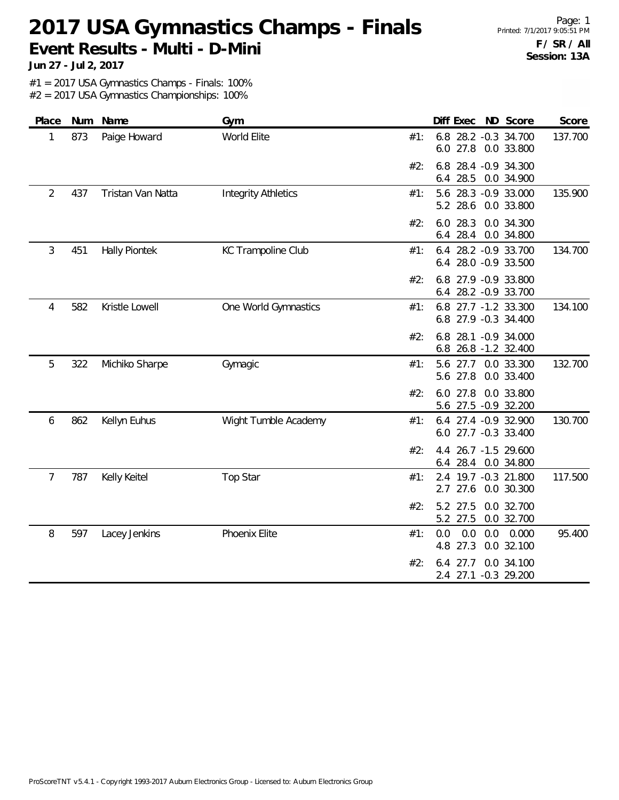## **2017 USA Gymnastics Champs - Finals Event Results - Multi - D-Mini**

Page: 1 Printed: 7/1/2017 9:05:51 PM **F / SR / All Session: 13A**

**Jun 27 - Jul 2, 2017**

#1 = 2017 USA Gymnastics Champs - Finals: 100%

| Place          |     | Num Name             | Gym                        |     | Diff Exec ND Score                                    | Score   |
|----------------|-----|----------------------|----------------------------|-----|-------------------------------------------------------|---------|
| 1              | 873 | Paige Howard         | World Elite                | #1: | 6.8 28.2 -0.3 34.700<br>27.8 0.0 33.800<br>6.0        | 137.700 |
|                |     |                      |                            | #2: | 28.4 - 0.9 34.300<br>6.8<br>28.5<br>0.0 34.900<br>6.4 |         |
| $\overline{2}$ | 437 | Tristan Van Natta    | <b>Integrity Athletics</b> | #1: | 5.6 28.3 -0.9 33.000<br>28.6<br>5.2<br>0.0 33.800     | 135.900 |
|                |     |                      |                            | #2: | 28.3<br>0.0 34.300<br>6.0<br>6.4 28.4<br>0.0 34.800   |         |
| 3              | 451 | <b>Hally Piontek</b> | KC Trampoline Club         | #1: | 6.4 28.2 -0.9 33.700<br>6.4 28.0 -0.9 33.500          | 134.700 |
|                |     |                      |                            | #2: | 27.9 -0.9 33.800<br>6.8<br>6.4 28.2 -0.9 33.700       |         |
| 4              | 582 | Kristle Lowell       | One World Gymnastics       | #1: | 6.8 27.7 -1.2 33.300<br>6.8 27.9 -0.3 34.400          | 134.100 |
|                |     |                      |                            | #2: | 28.1 -0.9 34.000<br>6.8<br>6.8 26.8 -1.2 32.400       |         |
| 5              | 322 | Michiko Sharpe       | Gymagic                    | #1: | 27.7 0.0 33.300<br>5.6<br>5.6 27.8<br>0.0 33.400      | 132.700 |
|                |     |                      |                            | #2: | 6.0 27.8 0.0 33.800<br>5.6 27.5 -0.9 32.200           |         |
| 6              | 862 | Kellyn Euhus         | Wight Tumble Academy       | #1: | 6.4 27.4 -0.9 32.900<br>6.0 27.7 -0.3 33.400          | 130.700 |
|                |     |                      |                            | #2: | 26.7 -1.5 29.600<br>4.4<br>28.4 0.0 34.800<br>6.4     |         |
| 7              | 787 | Kelly Keitel         | <b>Top Star</b>            | #1: | 2.4 19.7 -0.3 21.800<br>2.7 27.6 0.0 30.300           | 117.500 |
|                |     |                      |                            | #2: | 5.2 27.5<br>0.0 32.700<br>5.2 27.5<br>0.0 32.700      |         |
| 8              | 597 | Lacey Jenkins        | Phoenix Elite              | #1: | 0.0<br>0.0<br>0.0<br>0.000<br>4.8 27.3<br>0.0 32.100  | 95.400  |
|                |     |                      |                            | #2: | 0.0 34.100<br>27.7<br>6.4<br>2.4 27.1 -0.3 29.200     |         |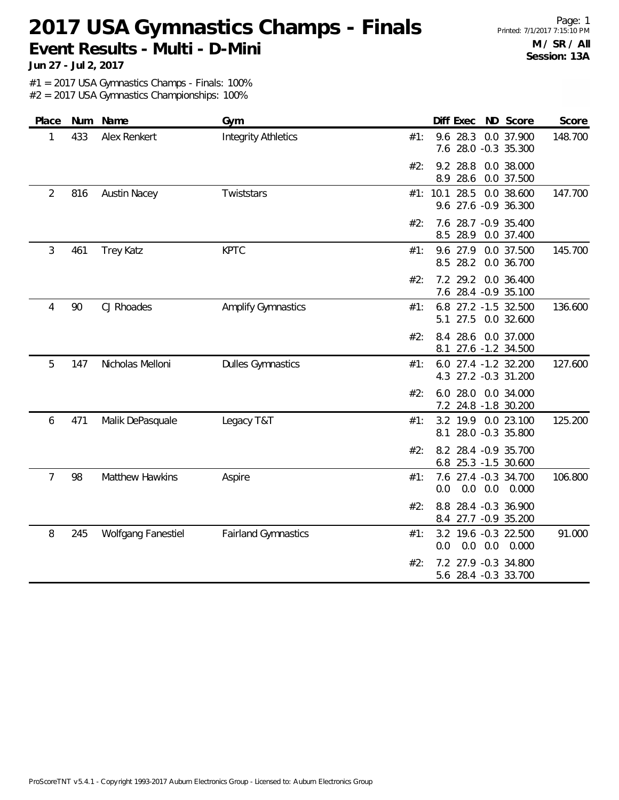**2017 USA Gymnastics Champs - Finals Event Results - Multi - D-Mini**

Page: 1 Printed: 7/1/2017 7:15:10 PM **M / SR / All Session: 13A**

**Jun 27 - Jul 2, 2017**

#1 = 2017 USA Gymnastics Champs - Finals: 100%

#2 = 2017 USA Gymnastics Championships: 100% **Place Num Name Gym Diff Exec ND Score Score**

| 433 | Alex Renkert        | <b>Integrity Athletics</b> | 9.6 28.3 0.0 37.900<br>148.700<br>#1:<br>7.6 28.0 -0.3 35.300           |
|-----|---------------------|----------------------------|-------------------------------------------------------------------------|
|     |                     |                            | 9.2 28.8<br>0.0 38.000<br>#2:<br>8.9<br>28.6<br>0.0 37.500              |
| 816 | <b>Austin Nacey</b> | Twiststars                 | 28.5<br>0.0 38.600<br>147.700<br>#1: 10.1<br>9.6 27.6 -0.9 36.300       |
|     |                     |                            | 7.6 28.7 -0.9 35.400<br>#2:<br>28.9 0.0 37.400<br>8.5                   |
| 461 | <b>Trey Katz</b>    | <b>KPTC</b>                | 9.6 27.9<br>0.0 37.500<br>145.700<br>#1:<br>8.5 28.2<br>0.0 36.700      |
|     |                     |                            | 7.2 29.2 0.0 36.400<br>#2:<br>7.6 28.4 -0.9 35.100                      |
| 90  | CJ Rhoades          | <b>Amplify Gymnastics</b>  | 6.8 27.2 -1.5 32.500<br>136.600<br>#1:<br>5.1 27.5 0.0 32.600           |
|     |                     |                            | 8.4 28.6 0.0 37.000<br>#2:<br>8.1 27.6 -1.2 34.500                      |
| 147 | Nicholas Melloni    | <b>Dulles Gymnastics</b>   | 127.600<br>6.0 27.4 -1.2 32.200<br>#1:<br>4.3 27.2 -0.3 31.200          |
|     |                     |                            | 28.0 0.0 34.000<br>#2:<br>6.0<br>7.2 24.8 -1.8 30.200                   |
| 471 | Malik DePasquale    | Legacy T&T                 | 125.200<br>3.2 19.9 0.0 23.100<br>#1:<br>8.1<br>28.0 -0.3 35.800        |
|     |                     |                            | 8.2 28.4 -0.9 35.700<br>#2:<br>6.8 25.3 -1.5 30.600                     |
| 98  | Matthew Hawkins     | Aspire                     | 106.800<br>7.6 27.4 -0.3 34.700<br>#1:<br>0.0<br>0.0<br>0.0<br>0.000    |
|     |                     |                            | 8.8<br>28.4 -0.3 36.900<br>#2:<br>8.4 27.7 -0.9 35.200                  |
| 245 | Wolfgang Fanestiel  | <b>Fairland Gymnastics</b> | 91.000<br>3.2 19.6 -0.3 22.500<br>#1:<br>$0.0\quad 0.0$<br>0.000<br>0.0 |
|     |                     |                            | 7.2 27.9 -0.3 34.800<br>#2:<br>5.6 28.4 -0.3 33.700                     |
|     |                     |                            |                                                                         |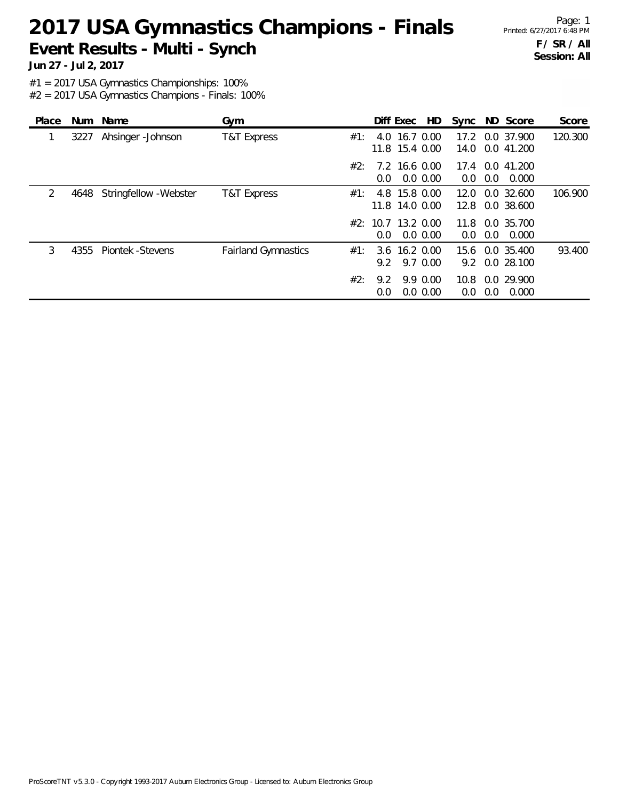## **2017 USA Gymnastics Champions - Finals Event Results - Multi - Synch**

Page: 1 Printed: 6/27/2017 6:48 PM **F / SR / All Session: All**

**Jun 27 - Jul 2, 2017**

#1 = 2017 USA Gymnastics Championships: 100%

| Place |      | Num Name               | Gym                        |     |                           |                                   | Diff Exec HD            | Sync         |     | ND Score                          | Score   |
|-------|------|------------------------|----------------------------|-----|---------------------------|-----------------------------------|-------------------------|--------------|-----|-----------------------------------|---------|
|       | 3227 | Ahsinger - Johnson     | T&T Express                | #1: | 4.0                       | 16.7 0.00<br>11.8 15.4 0.00       |                         | 17.2<br>14.0 |     | 0.0 37.900<br>0.0 41.200          | 120.300 |
|       |      |                        |                            | #2: | 0.0                       | 7.2 16.6 0.00                     | $0.0\,0.00$             | 0.0          | 0.0 | 17.4 0.0 41.200<br>0.000          |         |
| 2     | 4648 | Stringfellow - Webster | T&T Express                | #1: |                           | 4.8 15.8 0.00<br>11.8 14.0 0.00   |                         | 12.0<br>12.8 |     | 0.0 32.600<br>0.0 38.600          | 106.900 |
|       |      |                        |                            |     | #2: 10.7 13.2 0.00<br>0.0 |                                   | $0.0\,0.00$             | 11.8<br>0.0  | 0.0 | 0.0 35.700<br>0.000               |         |
| 3     | 4355 | Piontek - Stevens      | <b>Fairland Gymnastics</b> | #1: |                           | 3.6 16.2 0.00<br>$9.2$ $9.7$ 0.00 |                         |              |     | 15.6 0.0 35.400<br>9.2 0.0 28.100 | 93.400  |
|       |      |                        |                            | #2: | 9.2<br>0.0                |                                   | 9.9 0.00<br>$0.0\,0.00$ | 10.8<br>0.0  | 0.0 | 0.0 29.900<br>0.000               |         |